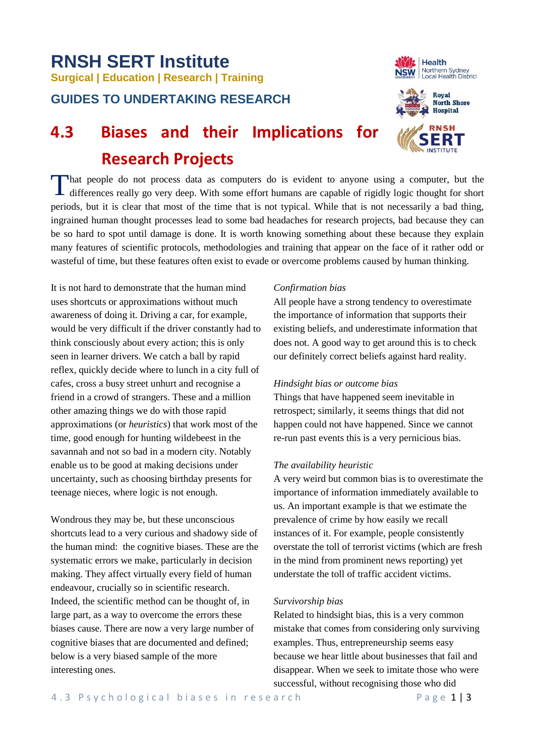# **RNSH SERT Institute Surgical | Education | Research | Training**

# **GUIDES TO UNDERTAKING RESEARCH**





SERT

# **4.3 Biases and their Implications for Research Projects**

That people do not process data as computers do is evident to anyone using a computer, but the differences really go very deep. With some effort humans are capable of rigidly logic thought for short  $\blacksquare$  differences really go very deep. With some effort humans are capable of rigidly logic thought for short periods, but it is clear that most of the time that is not typical. While that is not necessarily a bad thing, ingrained human thought processes lead to some bad headaches for research projects, bad because they can be so hard to spot until damage is done. It is worth knowing something about these because they explain many features of scientific protocols, methodologies and training that appear on the face of it rather odd or wasteful of time, but these features often exist to evade or overcome problems caused by human thinking.

It is not hard to demonstrate that the human mind uses shortcuts or approximations without much awareness of doing it. Driving a car, for example, would be very difficult if the driver constantly had to think consciously about every action; this is only seen in learner drivers. We catch a ball by rapid reflex, quickly decide where to lunch in a city full of cafes, cross a busy street unhurt and recognise a friend in a crowd of strangers. These and a million other amazing things we do with those rapid approximations (or *heuristics*) that work most of the time, good enough for hunting wildebeest in the savannah and not so bad in a modern city. Notably enable us to be good at making decisions under uncertainty, such as choosing birthday presents for teenage nieces, where logic is not enough.

Wondrous they may be, but these unconscious shortcuts lead to a very curious and shadowy side of the human mind: the cognitive biases. These are the systematic errors we make, particularly in decision making. They affect virtually every field of human endeavour, crucially so in scientific research. Indeed, the scientific method can be thought of, in large part, as a way to overcome the errors these biases cause. There are now a very large number of cognitive biases that are documented and defined; below is a very biased sample of the more interesting ones.

#### *Confirmation bias*

All people have a strong tendency to overestimate the importance of information that supports their existing beliefs, and underestimate information that does not. A good way to get around this is to check our definitely correct beliefs against hard reality.

#### *Hindsight bias or outcome bias*

Things that have happened seem inevitable in retrospect; similarly, it seems things that did not happen could not have happened. Since we cannot re-run past events this is a very pernicious bias.

#### *The availability heuristic*

A very weird but common bias is to overestimate the importance of information immediately available to us. An important example is that we estimate the prevalence of crime by how easily we recall instances of it. For example, people consistently overstate the toll of terrorist victims (which are fresh in the mind from prominent news reporting) yet understate the toll of traffic accident victims.

#### *Survivorship bias*

Related to hindsight bias, this is a very common mistake that comes from considering only surviving examples. Thus, entrepreneurship seems easy because we hear little about businesses that fail and disappear. When we seek to imitate those who were successful, without recognising those who did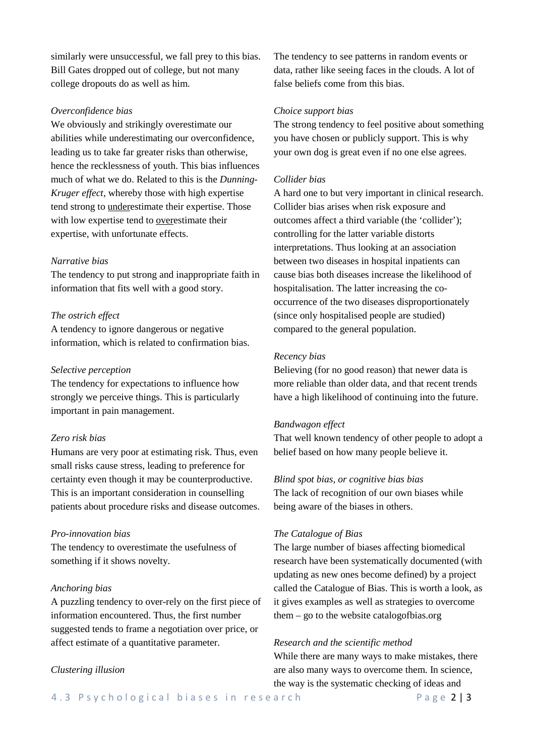similarly were unsuccessful, we fall prey to this bias. Bill Gates dropped out of college, but not many college dropouts do as well as him.

#### *Overconfidence bias*

We obviously and strikingly overestimate our abilities while underestimating our overconfidence, leading us to take far greater risks than otherwise, hence the recklessness of youth. This bias influences much of what we do. Related to this is the *Dunning-Kruger effect*, whereby those with high expertise tend strong to underestimate their expertise. Those with low expertise tend to overestimate their expertise, with unfortunate effects.

#### *Narrative bias*

The tendency to put strong and inappropriate faith in information that fits well with a good story.

#### *The ostrich effect*

A tendency to ignore dangerous or negative information, which is related to confirmation bias.

#### *Selective perception*

The tendency for expectations to influence how strongly we perceive things. This is particularly important in pain management.

#### *Zero risk bias*

Humans are very poor at estimating risk. Thus, even small risks cause stress, leading to preference for certainty even though it may be counterproductive. This is an important consideration in counselling patients about procedure risks and disease outcomes.

#### *Pro-innovation bias*

The tendency to overestimate the usefulness of something if it shows novelty.

#### *Anchoring bias*

A puzzling tendency to over-rely on the first piece of information encountered. Thus, the first number suggested tends to frame a negotiation over price, or affect estimate of a quantitative parameter.

### *Clustering illusion*

The tendency to see patterns in random events or data, rather like seeing faces in the clouds. A lot of false beliefs come from this bias.

#### *Choice support bias*

The strong tendency to feel positive about something you have chosen or publicly support. This is why your own dog is great even if no one else agrees.

#### *Collider bias*

A hard one to but very important in clinical research. Collider bias arises when risk exposure and outcomes affect a third variable (the 'collider'); controlling for the latter variable distorts interpretations. Thus looking at an association between two diseases in hospital inpatients can cause bias both diseases increase the likelihood of hospitalisation. The latter increasing the cooccurrence of the two diseases disproportionately (since only hospitalised people are studied) compared to the general population.

#### *Recency bias*

Believing (for no good reason) that newer data is more reliable than older data, and that recent trends have a high likelihood of continuing into the future.

#### *Bandwagon effect*

That well known tendency of other people to adopt a belief based on how many people believe it.

#### *Blind spot bias, or cognitive bias bias*

The lack of recognition of our own biases while being aware of the biases in others.

#### *The Catalogue of Bias*

The large number of biases affecting biomedical research have been systematically documented (with updating as new ones become defined) by a project called the Catalogue of Bias. This is worth a look, as it gives examples as well as strategies to overcome them – go to the website catalogofbias.org

## *Research and the scientific method*

While there are many ways to make mistakes, there are also many ways to overcome them. In science, the way is the systematic checking of ideas and